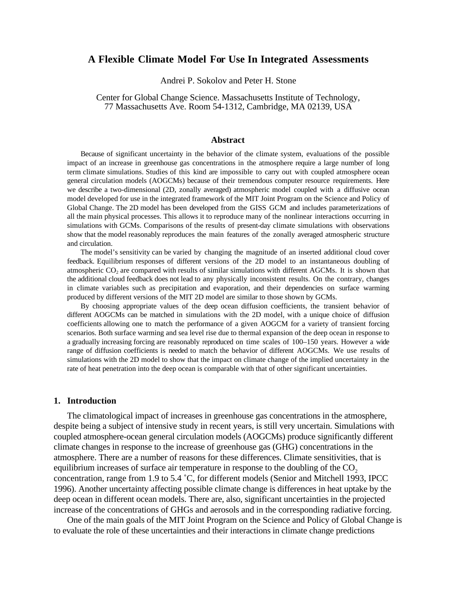# **A Flexible Climate Model For Use In Integrated Assessments**

Andrei P. Sokolov and Peter H. Stone

Center for Global Change Science. Massachusetts Institute of Technology, 77 Massachusetts Ave. Room 54-1312, Cambridge, MA 02139, USA

#### **Abstract**

Because of significant uncertainty in the behavior of the climate system, evaluations of the possible impact of an increase in greenhouse gas concentrations in the atmosphere require a large number of long term climate simulations. Studies of this kind are impossible to carry out with coupled atmosphere ocean general circulation models (AOGCMs) because of their tremendous computer resource requirements. Here we describe a two-dimensional (2D, zonally averaged) atmospheric model coupled with a diffusive ocean model developed for use in the integrated framework of the MIT Joint Program on the Science and Policy of Global Change. The 2D model has been developed from the GISS GCM and includes parameterizations of all the main physical processes. This allows it to reproduce many of the nonlinear interactions occurring in simulations with GCMs. Comparisons of the results of present-day climate simulations with observations show that the model reasonably reproduces the main features of the zonally averaged atmospheric structure and circulation.

The model's sensitivity can be varied by changing the magnitude of an inserted additional cloud cover feedback. Equilibrium responses of different versions of the 2D model to an instantaneous doubling of atmospheric  $CO<sub>2</sub>$  are compared with results of similar simulations with different AGCMs. It is shown that the additional cloud feedback does not lead to any physically inconsistent results. On the contrary, changes in climate variables such as precipitation and evaporation, and their dependencies on surface warming produced by different versions of the MIT 2D model are similar to those shown by GCMs.

By choosing appropriate values of the deep ocean diffusion coefficients, the transient behavior of different AOGCMs can be matched in simulations with the 2D model, with a unique choice of diffusion coefficients allowing one to match the performance of a given AOGCM for a variety of transient forcing scenarios. Both surface warming and sea level rise due to thermal expansion of the deep ocean in response to a gradually increasing forcing are reasonably reproduced on time scales of 100–150 years. However a wide range of diffusion coefficients is needed to match the behavior of different AOGCMs. We use results of simulations with the 2D model to show that the impact on climate change of the implied uncertainty in the rate of heat penetration into the deep ocean is comparable with that of other significant uncertainties.

### **1. Introduction**

The climatological impact of increases in greenhouse gas concentrations in the atmosphere, despite being a subject of intensive study in recent years, is still very uncertain. Simulations with coupled atmosphere-ocean general circulation models (AOGCMs) produce significantly different climate changes in response to the increase of greenhouse gas (GHG) concentrations in the atmosphere. There are a number of reasons for these differences. Climate sensitivities, that is equilibrium increases of surface air temperature in response to the doubling of the  $CO<sub>2</sub>$ concentration, range from 1.9 to 5.4 ˚C, for different models (Senior and Mitchell 1993, IPCC 1996). Another uncertainty affecting possible climate change is differences in heat uptake by the deep ocean in different ocean models. There are, also, significant uncertainties in the projected increase of the concentrations of GHGs and aerosols and in the corresponding radiative forcing.

One of the main goals of the MIT Joint Program on the Science and Policy of Global Change is to evaluate the role of these uncertainties and their interactions in climate change predictions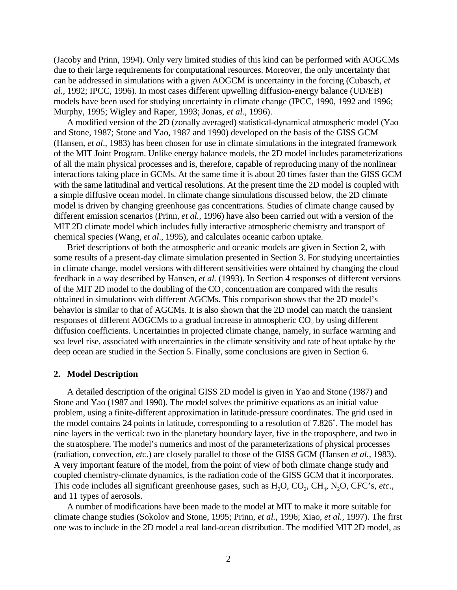(Jacoby and Prinn, 1994). Only very limited studies of this kind can be performed with AOGCMs due to their large requirements for computational resources. Moreover, the only uncertainty that can be addressed in simulations with a given AOGCM is uncertainty in the forcing (Cubasch, *et al.,* 1992; IPCC, 1996). In most cases different upwelling diffusion-energy balance (UD/EB) models have been used for studying uncertainty in climate change (IPCC, 1990, 1992 and 1996; Murphy, 1995; Wigley and Raper, 1993; Jonas, *et al.,* 1996).

A modified version of the 2D (zonally averaged) statistical-dynamical atmospheric model (Yao and Stone, 1987; Stone and Yao, 1987 and 1990) developed on the basis of the GISS GCM (Hansen, *et al*., 1983) has been chosen for use in climate simulations in the integrated framework of the MIT Joint Program. Unlike energy balance models, the 2D model includes parameterizations of all the main physical processes and is, therefore, capable of reproducing many of the nonlinear interactions taking place in GCMs. At the same time it is about 20 times faster than the GISS GCM with the same latitudinal and vertical resolutions. At the present time the 2D model is coupled with a simple diffusive ocean model. In climate change simulations discussed below, the 2D climate model is driven by changing greenhouse gas concentrations. Studies of climate change caused by different emission scenarios (Prinn, *et al.,* 1996) have also been carried out with a version of the MIT 2D climate model which includes fully interactive atmospheric chemistry and transport of chemical species (Wang, *et al*., 1995), and calculates oceanic carbon uptake.

Brief descriptions of both the atmospheric and oceanic models are given in Section 2, with some results of a present-day climate simulation presented in Section 3. For studying uncertainties in climate change, model versions with different sensitivities were obtained by changing the cloud feedback in a way described by Hansen, *et al.* (1993). In Section 4 responses of different versions of the MIT 2D model to the doubling of the  $CO<sub>2</sub>$  concentration are compared with the results obtained in simulations with different AGCMs. This comparison shows that the 2D model's behavior is similar to that of AGCMs. It is also shown that the 2D model can match the transient responses of different AOGCMs to a gradual increase in atmospheric  $CO<sub>2</sub>$  by using different diffusion coefficients. Uncertainties in projected climate change, namely, in surface warming and sea level rise, associated with uncertainties in the climate sensitivity and rate of heat uptake by the deep ocean are studied in the Section 5. Finally, some conclusions are given in Section 6.

### **2. Model Description**

A detailed description of the original GISS 2D model is given in Yao and Stone (1987) and Stone and Yao (1987 and 1990). The model solves the primitive equations as an initial value problem, using a finite-different approximation in latitude-pressure coordinates. The grid used in the model contains 24 points in latitude, corresponding to a resolution of 7.826˚. The model has nine layers in the vertical: two in the planetary boundary layer, five in the troposphere, and two in the stratosphere. The model's numerics and most of the parameterizations of physical processes (radiation, convection, *etc*.) are closely parallel to those of the GISS GCM (Hansen *et al.,* 1983). A very important feature of the model, from the point of view of both climate change study and coupled chemistry-climate dynamics, is the radiation code of the GISS GCM that it incorporates. This code includes all significant greenhouse gases, such as H<sub>2</sub>O, CO<sub>2</sub>, CH<sub>4</sub>, N<sub>2</sub>O, CFC's, *etc*., and 11 types of aerosols.

A number of modifications have been made to the model at MIT to make it more suitable for climate change studies (Sokolov and Stone, 1995; Prinn, *et al.,* 1996; Xiao, *et al.,* 1997). The first one was to include in the 2D model a real land-ocean distribution. The modified MIT 2D model, as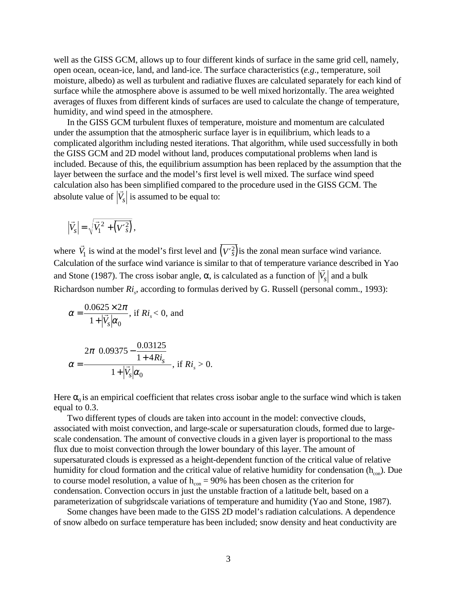well as the GISS GCM, allows up to four different kinds of surface in the same grid cell, namely, open ocean, ocean-ice, land, and land-ice. The surface characteristics (*e.g*., temperature, soil moisture, albedo) as well as turbulent and radiative fluxes are calculated separately for each kind of surface while the atmosphere above is assumed to be well mixed horizontally. The area weighted averages of fluxes from different kinds of surfaces are used to calculate the change of temperature, humidity, and wind speed in the atmosphere.

In the GISS GCM turbulent fluxes of temperature, moisture and momentum are calculated under the assumption that the atmospheric surface layer is in equilibrium, which leads to a complicated algorithm including nested iterations. That algorithm, while used successfully in both the GISS GCM and 2D model without land, produces computational problems when land is included. Because of this, the equilibrium assumption has been replaced by the assumption that the layer between the surface and the model's first level is well mixed. The surface wind speed calculation also has been simplified compared to the procedure used in the GISS GCM. The absolute value of  $|V_s|$  is assumed to be equal to:

$$
\left|\vec{V}_s\right| = \sqrt{\vec{V}_1^2 + \overline{\left(V'^2_s\right)}},
$$

where r  $\vec{V}_1$  is wind at the model's first level and  $(V'\hat{s})$  is the zonal mean surface wind variance. Calculation of the surface wind variance is similar to that of temperature variance described in Yao and Stone (1987). The cross isobar angle,  $\alpha$ , is calculated as a function of  $|V_s|$  and a bulk Richardson number  $Ri_s$ , according to formulas derived by G. Russell (personal comm., 1993):

$$
\alpha = \frac{0.0625 \times 2\pi}{1 + |\vec{V}_s| \alpha_0}, \text{ if } Ri_s < 0, \text{ and}
$$

$$
\alpha = \frac{2\pi \left(0.09375 - \frac{0.03125}{1 + 4Ri_s}\right)}{1 + |\vec{V}_s| \alpha_0}, \text{ if } Ri_s > 0.
$$

Here  $\alpha_0$  is an empirical coefficient that relates cross isobar angle to the surface wind which is taken equal to 0.3.

Two different types of clouds are taken into account in the model: convective clouds, associated with moist convection, and large-scale or supersaturation clouds, formed due to largescale condensation. The amount of convective clouds in a given layer is proportional to the mass flux due to moist convection through the lower boundary of this layer. The amount of supersaturated clouds is expressed as a height-dependent function of the critical value of relative humidity for cloud formation and the critical value of relative humidity for condensation  $(h_{\text{con}})$ . Due to course model resolution, a value of  $h_{\rm con} = 90\%$  has been chosen as the criterion for condensation. Convection occurs in just the unstable fraction of a latitude belt, based on a parameterization of subgridscale variations of temperature and humidity (Yao and Stone, 1987).

Some changes have been made to the GISS 2D model's radiation calculations. A dependence of snow albedo on surface temperature has been included; snow density and heat conductivity are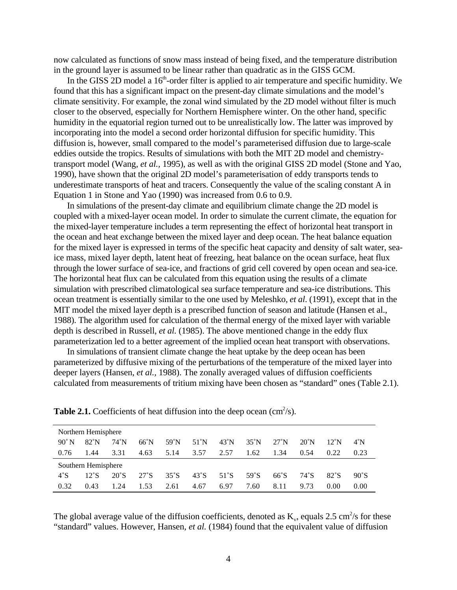now calculated as functions of snow mass instead of being fixed, and the temperature distribution in the ground layer is assumed to be linear rather than quadratic as in the GISS GCM.

In the GISS 2D model a  $16<sup>th</sup>$ -order filter is applied to air temperature and specific humidity. We found that this has a significant impact on the present-day climate simulations and the model's climate sensitivity. For example, the zonal wind simulated by the 2D model without filter is much closer to the observed, especially for Northern Hemisphere winter. On the other hand, specific humidity in the equatorial region turned out to be unrealistically low. The latter was improved by incorporating into the model a second order horizontal diffusion for specific humidity. This diffusion is, however, small compared to the model's parameterised diffusion due to large-scale eddies outside the tropics. Results of simulations with both the MIT 2D model and chemistrytransport model (Wang, *et al.,* 1995), as well as with the original GISS 2D model (Stone and Yao, 1990), have shown that the original 2D model's parameterisation of eddy transports tends to underestimate transports of heat and tracers. Consequently the value of the scaling constant A in Equation 1 in Stone and Yao (1990) was increased from 0.6 to 0.9.

In simulations of the present-day climate and equilibrium climate change the 2D model is coupled with a mixed-layer ocean model. In order to simulate the current climate, the equation for the mixed-layer temperature includes a term representing the effect of horizontal heat transport in the ocean and heat exchange between the mixed layer and deep ocean. The heat balance equation for the mixed layer is expressed in terms of the specific heat capacity and density of salt water, seaice mass, mixed layer depth, latent heat of freezing, heat balance on the ocean surface, heat flux through the lower surface of sea-ice, and fractions of grid cell covered by open ocean and sea-ice. The horizontal heat flux can be calculated from this equation using the results of a climate simulation with prescribed climatological sea surface temperature and sea-ice distributions. This ocean treatment is essentially similar to the one used by Meleshko, *et al*. (1991), except that in the MIT model the mixed layer depth is a prescribed function of season and latitude (Hansen et al., 1988). The algorithm used for calculation of the thermal energy of the mixed layer with variable depth is described in Russell, *et al.* (1985). The above mentioned change in the eddy flux parameterization led to a better agreement of the implied ocean heat transport with observations.

In simulations of transient climate change the heat uptake by the deep ocean has been parameterized by diffusive mixing of the perturbations of the temperature of the mixed layer into deeper layers (Hansen, *et al.,* 1988). The zonally averaged values of diffusion coefficients calculated from measurements of tritium mixing have been chosen as "standard" ones (Table 2.1).

| Northern Hemisphere |                |                |                |                |                |                |                |                |                |                |                |
|---------------------|----------------|----------------|----------------|----------------|----------------|----------------|----------------|----------------|----------------|----------------|----------------|
| $90^{\circ}$ N      | $82^{\circ}$ N | $74^{\circ}$ N | $66^{\circ}$ N | $59^{\circ}$ N | $51^{\circ}$ N | $43^{\circ}$ N | $35^{\circ}$ N | $27^{\circ}$ N | $20^{\circ}$ N | $12^{\circ}$ N | 4°N            |
| 0.76                | 1.44           | 3.31           | 4.63           | 5.14           | 3.57           | 2.57           | 1.62           | 1.34           | 0.54           | 0.22           | 0.23           |
| Southern Hemisphere |                |                |                |                |                |                |                |                |                |                |                |
| $4^\circ$ S         | $12^{\circ}$ S | $20^{\circ}$ S | $27^{\circ}$ S | $35^{\circ}$ S | $43^{\circ}$ S | $51^{\circ}$ S | $59^{\circ}$ S | $66^{\circ}$ S | $74^{\circ}$ S | $82^\circ$ S   | $90^{\circ}$ S |
| 0.32                | 0.43           | 1.24           | 1.53           | 2.61           | 4.67           | 6.97           | 7.60           | 8.11           | 9.73           | 0.00           | 0.00           |

**Table 2.1.** Coefficients of heat diffusion into the deep ocean  $\text{(cm}^2\text{/s)}$ .

The global average value of the diffusion coefficients, denoted as  $K_{v}$ , equals 2.5 cm<sup>2</sup>/s for these "standard" values. However, Hansen, *et al.* (1984) found that the equivalent value of diffusion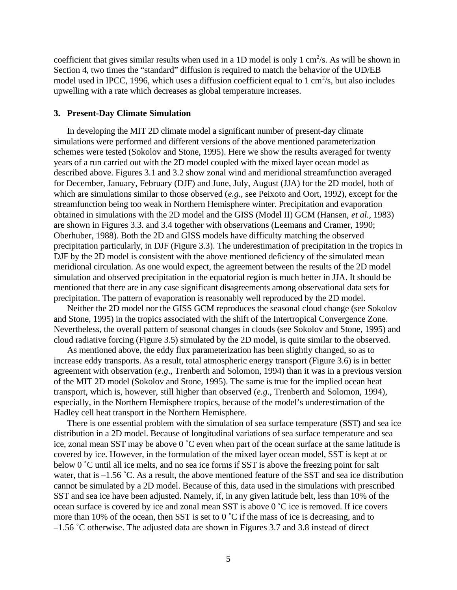coefficient that gives similar results when used in a 1D model is only 1  $\text{cm}^2/\text{s}$ . As will be shown in Section 4, two times the "standard" diffusion is required to match the behavior of the UD/EB model used in IPCC, 1996, which uses a diffusion coefficient equal to 1 cm<sup>2</sup>/s, but also includes upwelling with a rate which decreases as global temperature increases.

## **3. Present-Day Climate Simulation**

In developing the MIT 2D climate model a significant number of present-day climate simulations were performed and different versions of the above mentioned parameterization schemes were tested (Sokolov and Stone, 1995). Here we show the results averaged for twenty years of a run carried out with the 2D model coupled with the mixed layer ocean model as described above. Figures 3.1 and 3.2 show zonal wind and meridional streamfunction averaged for December, January, February (DJF) and June, July, August (JJA) for the 2D model, both of which are simulations similar to those observed (*e.g*., see Peixoto and Oort, 1992), except for the streamfunction being too weak in Northern Hemisphere winter. Precipitation and evaporation obtained in simulations with the 2D model and the GISS (Model II) GCM (Hansen, *et al.,* 1983) are shown in Figures 3.3. and 3.4 together with observations (Leemans and Cramer, 1990; Oberhuber, 1988). Both the 2D and GISS models have difficulty matching the observed precipitation particularly, in DJF (Figure 3.3). The underestimation of precipitation in the tropics in DJF by the 2D model is consistent with the above mentioned deficiency of the simulated mean meridional circulation. As one would expect, the agreement between the results of the 2D model simulation and observed precipitation in the equatorial region is much better in JJA. It should be mentioned that there are in any case significant disagreements among observational data sets for precipitation. The pattern of evaporation is reasonably well reproduced by the 2D model.

Neither the 2D model nor the GISS GCM reproduces the seasonal cloud change (see Sokolov and Stone, 1995) in the tropics associated with the shift of the Intertropical Convergence Zone. Nevertheless, the overall pattern of seasonal changes in clouds (see Sokolov and Stone, 1995) and cloud radiative forcing (Figure 3.5) simulated by the 2D model, is quite similar to the observed.

As mentioned above, the eddy flux parameterization has been slightly changed, so as to increase eddy transports. As a result, total atmospheric energy transport (Figure 3.6) is in better agreement with observation (*e.g*., Trenberth and Solomon, 1994) than it was in a previous version of the MIT 2D model (Sokolov and Stone, 1995). The same is true for the implied ocean heat transport, which is, however, still higher than observed (*e.g*., Trenberth and Solomon, 1994), especially, in the Northern Hemisphere tropics, because of the model's underestimation of the Hadley cell heat transport in the Northern Hemisphere.

There is one essential problem with the simulation of sea surface temperature (SST) and sea ice distribution in a 2D model. Because of longitudinal variations of sea surface temperature and sea ice, zonal mean SST may be above 0 ˚C even when part of the ocean surface at the same latitude is covered by ice. However, in the formulation of the mixed layer ocean model, SST is kept at or below 0 °C until all ice melts, and no sea ice forms if SST is above the freezing point for salt water, that is –1.56 °C. As a result, the above mentioned feature of the SST and sea ice distribution cannot be simulated by a 2D model. Because of this, data used in the simulations with prescribed SST and sea ice have been adjusted. Namely, if, in any given latitude belt, less than 10% of the ocean surface is covered by ice and zonal mean SST is above 0 ˚C ice is removed. If ice covers more than 10% of the ocean, then SST is set to 0 °C if the mass of ice is decreasing, and to –1.56 ˚C otherwise. The adjusted data are shown in Figures 3.7 and 3.8 instead of direct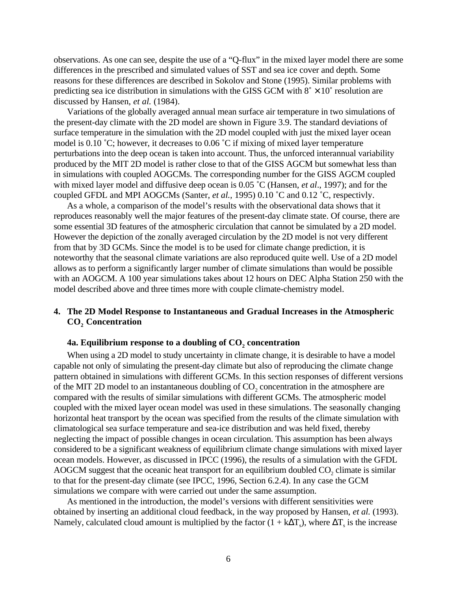observations. As one can see, despite the use of a "Q-flux" in the mixed layer model there are some differences in the prescribed and simulated values of SST and sea ice cover and depth. Some reasons for these differences are described in Sokolov and Stone (1995). Similar problems with predicting sea ice distribution in simulations with the GISS GCM with  $8^\circ \times 10^\circ$  resolution are discussed by Hansen, *et al.* (1984).

Variations of the globally averaged annual mean surface air temperature in two simulations of the present-day climate with the 2D model are shown in Figure 3.9. The standard deviations of surface temperature in the simulation with the 2D model coupled with just the mixed layer ocean model is 0.10 ˚C; however, it decreases to 0.06 ˚C if mixing of mixed layer temperature perturbations into the deep ocean is taken into account. Thus, the unforced interannual variability produced by the MIT 2D model is rather close to that of the GISS AGCM but somewhat less than in simulations with coupled AOGCMs. The corresponding number for the GISS AGCM coupled with mixed layer model and diffusive deep ocean is 0.05 ˚C (Hansen, *et al*., 1997); and for the coupled GFDL and MPI AOGCMs (Santer, *et al.,* 1995) 0.10 ˚C and 0.12 ˚C, respectivly.

As a whole, a comparison of the model's results with the observational data shows that it reproduces reasonably well the major features of the present-day climate state. Of course, there are some essential 3D features of the atmospheric circulation that cannot be simulated by a 2D model. However the depiction of the zonally averaged circulation by the 2D model is not very different from that by 3D GCMs. Since the model is to be used for climate change prediction, it is noteworthy that the seasonal climate variations are also reproduced quite well. Use of a 2D model allows as to perform a significantly larger number of climate simulations than would be possible with an AOGCM. A 100 year simulations takes about 12 hours on DEC Alpha Station 250 with the model described above and three times more with couple climate-chemistry model.

# **4. The 2D Model Response to Instantaneous and Gradual Increases in the Atmospheric** CO<sub>2</sub> Concentration

# 4a. Equilibrium response to a doubling of CO<sub>2</sub> concentration

When using a 2D model to study uncertainty in climate change, it is desirable to have a model capable not only of simulating the present-day climate but also of reproducing the climate change pattern obtained in simulations with different GCMs. In this section responses of different versions of the MIT 2D model to an instantaneous doubling of  $CO<sub>2</sub>$  concentration in the atmosphere are compared with the results of similar simulations with different GCMs. The atmospheric model coupled with the mixed layer ocean model was used in these simulations. The seasonally changing horizontal heat transport by the ocean was specified from the results of the climate simulation with climatological sea surface temperature and sea-ice distribution and was held fixed, thereby neglecting the impact of possible changes in ocean circulation. This assumption has been always considered to be a significant weakness of equilibrium climate change simulations with mixed layer ocean models. However, as discussed in IPCC (1996), the results of a simulation with the GFDL AOGCM suggest that the oceanic heat transport for an equilibrium doubled  $CO<sub>2</sub>$  climate is similar to that for the present-day climate (see IPCC, 1996, Section 6.2.4). In any case the GCM simulations we compare with were carried out under the same assumption.

As mentioned in the introduction, the model's versions with different sensitivities were obtained by inserting an additional cloud feedback, in the way proposed by Hansen, *et al.* (1993). Namely, calculated cloud amount is multiplied by the factor  $(1 + k\Delta T_s)$ , where  $\Delta T_s$  is the increase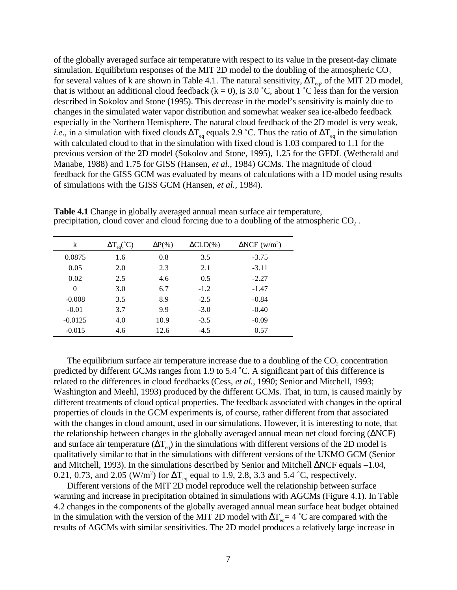of the globally averaged surface air temperature with respect to its value in the present-day climate simulation. Equilibrium responses of the MIT 2D model to the doubling of the atmospheric  $CO<sub>2</sub>$ for several values of k are shown in Table 4.1. The natural sensitivity,  $\Delta T_{eq}$ , of the MIT 2D model, that is without an additional cloud feedback ( $k = 0$ ), is 3.0 °C, about 1 °C less than for the version described in Sokolov and Stone (1995). This decrease in the model's sensitivity is mainly due to changes in the simulated water vapor distribution and somewhat weaker sea ice-albedo feedback especially in the Northern Hemisphere. The natural cloud feedback of the 2D model is very weak, *i.e.*, in a simulation with fixed clouds  $\Delta T_{eq}$  equals 2.9 °C. Thus the ratio of  $\Delta T_{eq}$  in the simulation with calculated cloud to that in the simulation with fixed cloud is 1.03 compared to 1.1 for the previous version of the 2D model (Sokolov and Stone, 1995), 1.25 for the GFDL (Wetherald and Manabe, 1988) and 1.75 for GISS (Hansen, *et al.,* 1984) GCMs. The magnitude of cloud feedback for the GISS GCM was evaluated by means of calculations with a 1D model using results of simulations with the GISS GCM (Hansen, *et al.,* 1984).

| k         | $\Delta T_{eq} (^{\circ}C)$ | $\Delta P(\%)$ | $\Delta CLD(\%)$ | $\Delta NCF$ (w/m <sup>2</sup> ) |
|-----------|-----------------------------|----------------|------------------|----------------------------------|
| 0.0875    | 1.6                         | 0.8            | 3.5              | $-3.75$                          |
| 0.05      | 2.0                         | 2.3            | 2.1              | $-3.11$                          |
| 0.02      | 2.5                         | 4.6            | 0.5              | $-2.27$                          |
| $\Omega$  | 3.0                         | 6.7            | $-1.2$           | $-1.47$                          |
| $-0.008$  | 3.5                         | 8.9            | $-2.5$           | $-0.84$                          |
| $-0.01$   | 3.7                         | 9.9            | $-3.0$           | $-0.40$                          |
| $-0.0125$ | 4.0                         | 10.9           | $-3.5$           | $-0.09$                          |
| $-0.015$  | 4.6                         | 12.6           | $-4.5$           | 0.57                             |

**Table 4.1** Change in globally averaged annual mean surface air temperature, precipitation, cloud cover and cloud forcing due to a doubling of the atmospheric  $CO<sub>2</sub>$ .

The equilibrium surface air temperature increase due to a doubling of the  $CO<sub>2</sub>$  concentration predicted by different GCMs ranges from 1.9 to 5.4 ˚C. A significant part of this difference is related to the differences in cloud feedbacks (Cess, *et al.,* 1990; Senior and Mitchell, 1993; Washington and Meehl, 1993) produced by the different GCMs. That, in turn, is caused mainly by different treatments of cloud optical properties. The feedback associated with changes in the optical properties of clouds in the GCM experiments is, of course, rather different from that associated with the changes in cloud amount, used in our simulations. However, it is interesting to note, that the relationship between changes in the globally averaged annual mean net cloud forcing (∆NCF) and surface air temperature ( $\Delta T_{eq}$ ) in the simulations with different versions of the 2D model is qualitatively similar to that in the simulations with different versions of the UKMO GCM (Senior and Mitchell, 1993). In the simulations described by Senior and Mitchell ∆NCF equals –1.04, 0.21, 0.73, and 2.05 (W/m<sup>2</sup>) for  $\Delta T_{eq}$  equal to 1.9, 2.8, 3.3 and 5.4 °C, respectively.

Different versions of the MIT 2D model reproduce well the relationship between surface warming and increase in precipitation obtained in simulations with AGCMs (Figure 4.1). In Table 4.2 changes in the components of the globally averaged annual mean surface heat budget obtained in the simulation with the version of the MIT 2D model with  $\Delta T_{eq} = 4 \degree C$  are compared with the results of AGCMs with similar sensitivities. The 2D model produces a relatively large increase in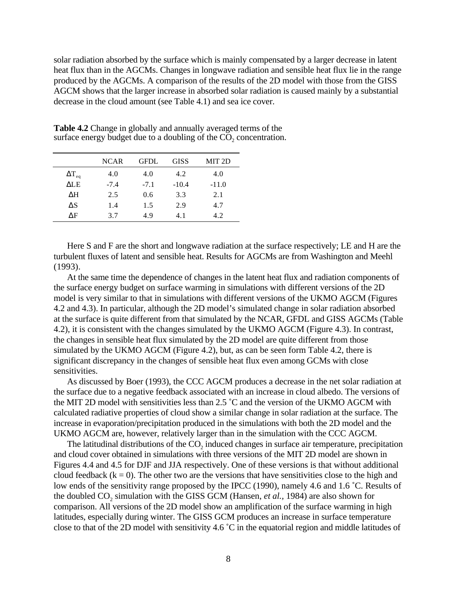solar radiation absorbed by the surface which is mainly compensated by a larger decrease in latent heat flux than in the AGCMs. Changes in longwave radiation and sensible heat flux lie in the range produced by the AGCMs. A comparison of the results of the 2D model with those from the GISS AGCM shows that the larger increase in absorbed solar radiation is caused mainly by a substantial decrease in the cloud amount (see Table 4.1) and sea ice cover.

|                 | <b>NCAR</b> | <b>GFDL</b> | <b>GISS</b> | MIT <sub>2D</sub> |
|-----------------|-------------|-------------|-------------|-------------------|
| $\Delta T_{eq}$ | 4.0         | 4.0         | 4.2         | 4.0               |
| ALE             | $-7.4$      | $-7.1$      | $-10.4$     | $-11.0$           |
| ΔH              | 2.5         | 0.6         | 3.3         | 2.1               |
| $\Delta S$      | 1.4         | 1.5         | 2.9         | 4.7               |
| ΛF              | 3.7         | 4.9         | 4.1         | 4.2               |

**Table 4.2** Change in globally and annually averaged terms of the surface energy budget due to a doubling of the  $CO<sub>2</sub>$  concentration.

Here S and F are the short and longwave radiation at the surface respectively; LE and H are the turbulent fluxes of latent and sensible heat. Results for AGCMs are from Washington and Meehl (1993).

At the same time the dependence of changes in the latent heat flux and radiation components of the surface energy budget on surface warming in simulations with different versions of the 2D model is very similar to that in simulations with different versions of the UKMO AGCM (Figures 4.2 and 4.3). In particular, although the 2D model's simulated change in solar radiation absorbed at the surface is quite different from that simulated by the NCAR, GFDL and GISS AGCMs (Table 4.2), it is consistent with the changes simulated by the UKMO AGCM (Figure 4.3). In contrast, the changes in sensible heat flux simulated by the 2D model are quite different from those simulated by the UKMO AGCM (Figure 4.2), but, as can be seen form Table 4.2, there is significant discrepancy in the changes of sensible heat flux even among GCMs with close sensitivities.

As discussed by Boer (1993), the CCC AGCM produces a decrease in the net solar radiation at the surface due to a negative feedback associated with an increase in cloud albedo. The versions of the MIT 2D model with sensitivities less than 2.5 ˚C and the version of the UKMO AGCM with calculated radiative properties of cloud show a similar change in solar radiation at the surface. The increase in evaporation/precipitation produced in the simulations with both the 2D model and the UKMO AGCM are, however, relatively larger than in the simulation with the CCC AGCM.

The latitudinal distributions of the CO<sub>2</sub> induced changes in surface air temperature, precipitation and cloud cover obtained in simulations with three versions of the MIT 2D model are shown in Figures 4.4 and 4.5 for DJF and JJA respectively. One of these versions is that without additional cloud feedback  $(k = 0)$ . The other two are the versions that have sensitivities close to the high and low ends of the sensitivity range proposed by the IPCC (1990), namely 4.6 and 1.6 ˚C. Results of the doubled CO<sub>2</sub> simulation with the GISS GCM (Hansen, *et al.*, 1984) are also shown for comparison. All versions of the 2D model show an amplification of the surface warming in high latitudes, especially during winter. The GISS GCM produces an increase in surface temperature close to that of the 2D model with sensitivity 4.6 ˚C in the equatorial region and middle latitudes of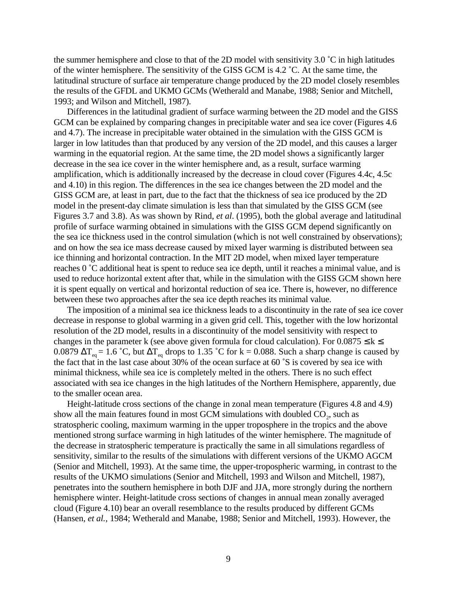the summer hemisphere and close to that of the 2D model with sensitivity 3.0 ˚C in high latitudes of the winter hemisphere. The sensitivity of the GISS GCM is 4.2 ˚C. At the same time, the latitudinal structure of surface air temperature change produced by the 2D model closely resembles the results of the GFDL and UKMO GCMs (Wetherald and Manabe, 1988; Senior and Mitchell, 1993; and Wilson and Mitchell, 1987).

Differences in the latitudinal gradient of surface warming between the 2D model and the GISS GCM can be explained by comparing changes in precipitable water and sea ice cover (Figures 4.6 and 4.7). The increase in precipitable water obtained in the simulation with the GISS GCM is larger in low latitudes than that produced by any version of the 2D model, and this causes a larger warming in the equatorial region. At the same time, the 2D model shows a significantly larger decrease in the sea ice cover in the winter hemisphere and, as a result, surface warming amplification, which is additionally increased by the decrease in cloud cover (Figures 4.4c, 4.5c and 4.10) in this region. The differences in the sea ice changes between the 2D model and the GISS GCM are, at least in part, due to the fact that the thickness of sea ice produced by the 2D model in the present-day climate simulation is less than that simulated by the GISS GCM (see Figures 3.7 and 3.8). As was shown by Rind, *et al*. (1995), both the global average and latitudinal profile of surface warming obtained in simulations with the GISS GCM depend significantly on the sea ice thickness used in the control simulation (which is not well constrained by observations); and on how the sea ice mass decrease caused by mixed layer warming is distributed between sea ice thinning and horizontal contraction. In the MIT 2D model, when mixed layer temperature reaches 0 ˚C additional heat is spent to reduce sea ice depth, until it reaches a minimal value, and is used to reduce horizontal extent after that, while in the simulation with the GISS GCM shown here it is spent equally on vertical and horizontal reduction of sea ice. There is, however, no difference between these two approaches after the sea ice depth reaches its minimal value.

The imposition of a minimal sea ice thickness leads to a discontinuity in the rate of sea ice cover decrease in response to global warming in a given grid cell. This, together with the low horizontal resolution of the 2D model, results in a discontinuity of the model sensitivity with respect to changes in the parameter k (see above given formula for cloud calculation). For  $0.0875 \le k \le$ 0.0879  $\Delta T_{eq} = 1.6 \degree C$ , but  $\Delta T_{eq}$  drops to 1.35 °C for k = 0.088. Such a sharp change is caused by the fact that in the last case about 30% of the ocean surface at 60 ˚S is covered by sea ice with minimal thickness, while sea ice is completely melted in the others. There is no such effect associated with sea ice changes in the high latitudes of the Northern Hemisphere, apparently, due to the smaller ocean area.

Height-latitude cross sections of the change in zonal mean temperature (Figures 4.8 and 4.9) show all the main features found in most GCM simulations with doubled  $CO<sub>2</sub>$ , such as stratospheric cooling, maximum warming in the upper troposphere in the tropics and the above mentioned strong surface warming in high latitudes of the winter hemisphere. The magnitude of the decrease in stratospheric temperature is practically the same in all simulations regardless of sensitivity, similar to the results of the simulations with different versions of the UKMO AGCM (Senior and Mitchell, 1993). At the same time, the upper-tropospheric warming, in contrast to the results of the UKMO simulations (Senior and Mitchell, 1993 and Wilson and Mitchell, 1987), penetrates into the southern hemisphere in both DJF and JJA, more strongly during the northern hemisphere winter. Height-latitude cross sections of changes in annual mean zonally averaged cloud (Figure 4.10) bear an overall resemblance to the results produced by different GCMs (Hansen, *et al.,* 1984; Wetherald and Manabe, 1988; Senior and Mitchell, 1993). However, the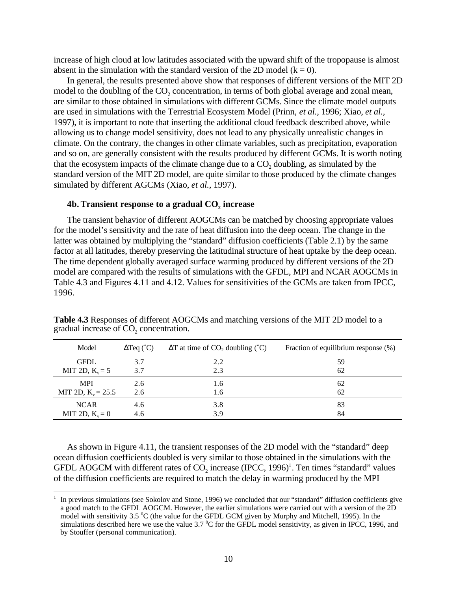increase of high cloud at low latitudes associated with the upward shift of the tropopause is almost absent in the simulation with the standard version of the 2D model ( $k = 0$ ).

In general, the results presented above show that responses of different versions of the MIT 2D model to the doubling of the CO<sub>2</sub> concentration, in terms of both global average and zonal mean, are similar to those obtained in simulations with different GCMs. Since the climate model outputs are used in simulations with the Terrestrial Ecosystem Model (Prinn, *et al.,* 1996; Xiao, *et al.,* 1997), it is important to note that inserting the additional cloud feedback described above, while allowing us to change model sensitivity, does not lead to any physically unrealistic changes in climate. On the contrary, the changes in other climate variables, such as precipitation, evaporation and so on, are generally consistent with the results produced by different GCMs. It is worth noting that the ecosystem impacts of the climate change due to a  $CO<sub>2</sub>$  doubling, as simulated by the standard version of the MIT 2D model, are quite similar to those produced by the climate changes simulated by different AGCMs (Xiao, *et al.,* 1997).

# 4b. Transient response to a gradual CO<sub>2</sub> increase

 $\overline{a}$ 

The transient behavior of different AOGCMs can be matched by choosing appropriate values for the model's sensitivity and the rate of heat diffusion into the deep ocean. The change in the latter was obtained by multiplying the "standard" diffusion coefficients (Table 2.1) by the same factor at all latitudes, thereby preserving the latitudinal structure of heat uptake by the deep ocean. The time dependent globally averaged surface warming produced by different versions of the 2D model are compared with the results of simulations with the GFDL, MPI and NCAR AOGCMs in Table 4.3 and Figures 4.11 and 4.12. Values for sensitivities of the GCMs are taken from IPCC, 1996.

| Model                | $\Delta$ Teq (°C) | $\Delta T$ at time of CO <sub>2</sub> doubling ( $^{\circ}$ C) | Fraction of equilibrium response (%) |
|----------------------|-------------------|----------------------------------------------------------------|--------------------------------------|
| <b>GFDL</b>          | 3.7               | 2.2                                                            | 59                                   |
| MIT 2D, $K_v = 5$    | 3.7               | 2.3                                                            | 62                                   |
| <b>MPI</b>           | 2.6               | 1.6                                                            | 62                                   |
| MIT 2D, $K_v = 25.5$ | 2.6               | 1.6                                                            | 62                                   |
| <b>NCAR</b>          | 4.6               | 3.8                                                            | 83                                   |
| MIT 2D, $K_v = 0$    | 4.6               | 3.9                                                            | 84                                   |

**Table 4.3** Responses of different AOGCMs and matching versions of the MIT 2D model to a gradual increase of  $CO<sub>2</sub>$  concentration.

As shown in Figure 4.11, the transient responses of the 2D model with the "standard" deep ocean diffusion coefficients doubled is very similar to those obtained in the simulations with the GFDL AOGCM with different rates of  $CO_2$  increase (IPCC, 1996)<sup>1</sup>. Ten times "standard" values of the diffusion coefficients are required to match the delay in warming produced by the MPI

<sup>1</sup> In previous simulations (see Sokolov and Stone, 1996) we concluded that our "standard" diffusion coefficients give a good match to the GFDL AOGCM. However, the earlier simulations were carried out with a version of the 2D model with sensitivity 3.5  $\rm{^0C}$  (the value for the GFDL GCM given by Murphy and Mitchell, 1995). In the simulations described here we use the value 3.7  $\rm{^0C}$  for the GFDL model sensitivity, as given in IPCC, 1996, and by Stouffer (personal communication).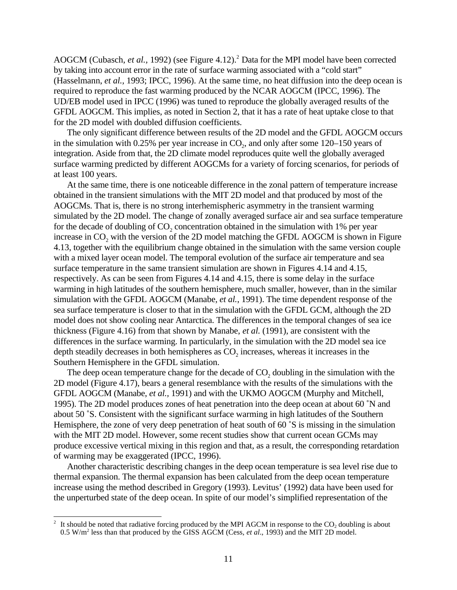AOGCM (Cubasch, *et al.*, 1992) (see Figure 4.12).<sup>2</sup> Data for the MPI model have been corrected by taking into account error in the rate of surface warming associated with a "cold start" (Hasselmann, *et al.,* 1993; IPCC, 1996). At the same time, no heat diffusion into the deep ocean is required to reproduce the fast warming produced by the NCAR AOGCM (IPCC, 1996). The UD/EB model used in IPCC (1996) was tuned to reproduce the globally averaged results of the GFDL AOGCM. This implies, as noted in Section 2, that it has a rate of heat uptake close to that for the 2D model with doubled diffusion coefficients.

The only significant difference between results of the 2D model and the GFDL AOGCM occurs in the simulation with  $0.25\%$  per year increase in CO<sub>2</sub>, and only after some  $120-150$  years of integration. Aside from that, the 2D climate model reproduces quite well the globally averaged surface warming predicted by different AOGCMs for a variety of forcing scenarios, for periods of at least 100 years.

At the same time, there is one noticeable difference in the zonal pattern of temperature increase obtained in the transient simulations with the MIT 2D model and that produced by most of the AOGCMs. That is, there is no strong interhemispheric asymmetry in the transient warming simulated by the 2D model. The change of zonally averaged surface air and sea surface temperature for the decade of doubling of  $CO<sub>2</sub>$ , concentration obtained in the simulation with 1% per year increase in CO<sub>2</sub> with the version of the 2D model matching the GFDL AOGCM is shown in Figure 4.13, together with the equilibrium change obtained in the simulation with the same version couple with a mixed layer ocean model. The temporal evolution of the surface air temperature and sea surface temperature in the same transient simulation are shown in Figures 4.14 and 4.15, respectively. As can be seen from Figures 4.14 and 4.15, there is some delay in the surface warming in high latitudes of the southern hemisphere, much smaller, however, than in the similar simulation with the GFDL AOGCM (Manabe, *et al.*, 1991). The time dependent response of the sea surface temperature is closer to that in the simulation with the GFDL GCM, although the 2D model does not show cooling near Antarctica. The differences in the temporal changes of sea ice thickness (Figure 4.16) from that shown by Manabe, *et al.* (1991), are consistent with the differences in the surface warming. In particularly, in the simulation with the 2D model sea ice depth steadily decreases in both hemispheres as  $CO<sub>2</sub>$  increases, whereas it increases in the Southern Hemisphere in the GFDL simulation.

The deep ocean temperature change for the decade of  $CO<sub>2</sub>$  doubling in the simulation with the 2D model (Figure 4.17), bears a general resemblance with the results of the simulations with the GFDL AOGCM (Manabe, *et al.,* 1991) and with the UKMO AOGCM (Murphy and Mitchell, 1995). The 2D model produces zones of heat penetration into the deep ocean at about 60 ˚N and about 50 ˚S. Consistent with the significant surface warming in high latitudes of the Southern Hemisphere, the zone of very deep penetration of heat south of 60 °S is missing in the simulation with the MIT 2D model. However, some recent studies show that current ocean GCMs may produce excessive vertical mixing in this region and that, as a result, the corresponding retardation of warming may be exaggerated (IPCC, 1996).

Another characteristic describing changes in the deep ocean temperature is sea level rise due to thermal expansion. The thermal expansion has been calculated from the deep ocean temperature increase using the method described in Gregory (1993). Levitus' (1992) data have been used for the unperturbed state of the deep ocean. In spite of our model's simplified representation of the

 $\sqrt{2}$ It should be noted that radiative forcing produced by the MPI AGCM in response to the  $CO<sub>2</sub>$  doubling is about 0.5 W/m<sup>2</sup> less than that produced by the GISS AGCM (Cess, *et al.*, 1993) and the MIT 2D model.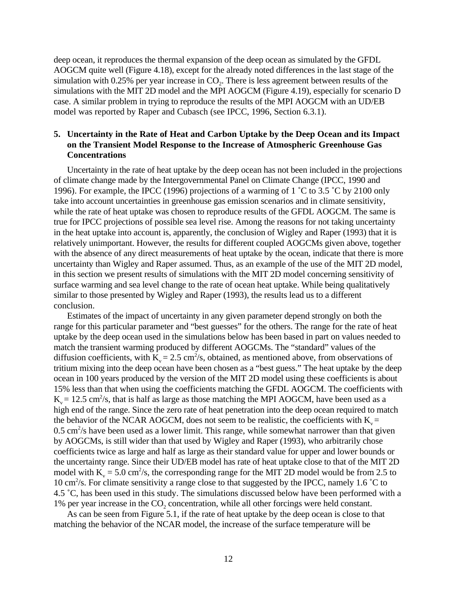deep ocean, it reproduces the thermal expansion of the deep ocean as simulated by the GFDL AOGCM quite well (Figure 4.18), except for the already noted differences in the last stage of the simulation with  $0.25\%$  per year increase in CO<sub>2</sub>. There is less agreement between results of the simulations with the MIT 2D model and the MPI AOGCM (Figure 4.19), especially for scenario D case. A similar problem in trying to reproduce the results of the MPI AOGCM with an UD/EB model was reported by Raper and Cubasch (see IPCC, 1996, Section 6.3.1).

# **5. Uncertainty in the Rate of Heat and Carbon Uptake by the Deep Ocean and its Impact on the Transient Model Response to the Increase of Atmospheric Greenhouse Gas Concentrations**

Uncertainty in the rate of heat uptake by the deep ocean has not been included in the projections of climate change made by the Intergovernmental Panel on Climate Change (IPCC, 1990 and 1996). For example, the IPCC (1996) projections of a warming of 1 ˚C to 3.5 ˚C by 2100 only take into account uncertainties in greenhouse gas emission scenarios and in climate sensitivity, while the rate of heat uptake was chosen to reproduce results of the GFDL AOGCM. The same is true for IPCC projections of possible sea level rise. Among the reasons for not taking uncertainty in the heat uptake into account is, apparently, the conclusion of Wigley and Raper (1993) that it is relatively unimportant. However, the results for different coupled AOGCMs given above, together with the absence of any direct measurements of heat uptake by the ocean, indicate that there is more uncertainty than Wigley and Raper assumed. Thus, as an example of the use of the MIT 2D model, in this section we present results of simulations with the MIT 2D model concerning sensitivity of surface warming and sea level change to the rate of ocean heat uptake. While being qualitatively similar to those presented by Wigley and Raper (1993), the results lead us to a different conclusion.

Estimates of the impact of uncertainty in any given parameter depend strongly on both the range for this particular parameter and "best guesses" for the others. The range for the rate of heat uptake by the deep ocean used in the simulations below has been based in part on values needed to match the transient warming produced by different AOGCMs. The "standard" values of the diffusion coefficients, with  $K_v = 2.5$  cm<sup>2</sup>/s, obtained, as mentioned above, from observations of tritium mixing into the deep ocean have been chosen as a "best guess." The heat uptake by the deep ocean in 100 years produced by the version of the MIT 2D model using these coefficients is about 15% less than that when using the coefficients matching the GFDL AOGCM. The coefficients with  $K_v = 12.5$  cm<sup>2</sup>/s, that is half as large as those matching the MPI AOGCM, have been used as a high end of the range. Since the zero rate of heat penetration into the deep ocean required to match the behavior of the NCAR AOGCM, does not seem to be realistic, the coefficients with  $K_v =$  $0.5 \text{ cm}^2/\text{s}$  have been used as a lower limit. This range, while somewhat narrower than that given by AOGCMs, is still wider than that used by Wigley and Raper (1993), who arbitrarily chose coefficients twice as large and half as large as their standard value for upper and lower bounds or the uncertainty range. Since their UD/EB model has rate of heat uptake close to that of the MIT 2D model with  $K_v = 5.0 \text{ cm}^2/\text{s}$ , the corresponding range for the MIT 2D model would be from 2.5 to 10 cm<sup>2</sup>/s. For climate sensitivity a range close to that suggested by the IPCC, namely 1.6 °C to 4.5 ˚C, has been used in this study. The simulations discussed below have been performed with a 1% per year increase in the  $CO<sub>2</sub>$  concentration, while all other forcings were held constant.

As can be seen from Figure 5.1, if the rate of heat uptake by the deep ocean is close to that matching the behavior of the NCAR model, the increase of the surface temperature will be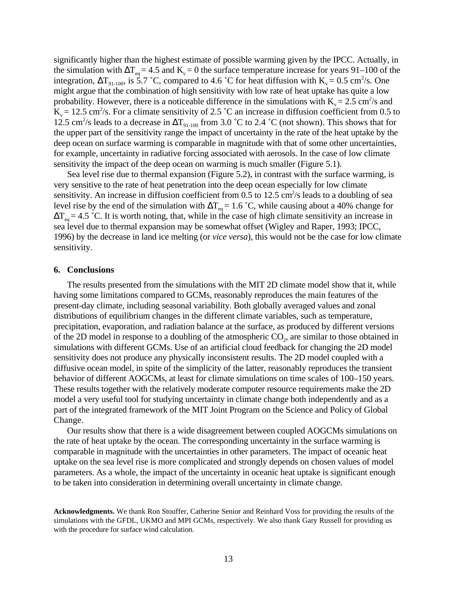significantly higher than the highest estimate of possible warming given by the IPCC. Actually, in the simulation with  $\Delta T_{eq} = 4.5$  and  $K_v = 0$  the surface temperature increase for years 91–100 of the integration,  $\Delta T_{91-100}$ , is 5.7 °C, compared to 4.6 °C for heat diffusion with  $K_v = 0.5$  cm<sup>2</sup>/s. One might argue that the combination of high sensitivity with low rate of heat uptake has quite a low probability. However, there is a noticeable difference in the simulations with  $K_v = 2.5$  cm<sup>2</sup>/s and  $K_v = 12.5$  cm<sup>2</sup>/s. For a climate sensitivity of 2.5 °C an increase in diffusion coefficient from 0.5 to 12.5 cm<sup>2</sup>/s leads to a decrease in  $\Delta T_{91-100}$  from 3.0 °C to 2.4 °C (not shown). This shows that for the upper part of the sensitivity range the impact of uncertainty in the rate of the heat uptake by the deep ocean on surface warming is comparable in magnitude with that of some other uncertainties, for example, uncertainty in radiative forcing associated with aerosols. In the case of low climate sensitivity the impact of the deep ocean on warming is much smaller (Figure 5.1).

Sea level rise due to thermal expansion (Figure 5.2), in contrast with the surface warming, is very sensitive to the rate of heat penetration into the deep ocean especially for low climate sensitivity. An increase in diffusion coefficient from 0.5 to 12.5 cm<sup>2</sup>/s leads to a doubling of sea level rise by the end of the simulation with  $\Delta T_{eq} = 1.6 \degree C$ , while causing about a 40% change for  $\Delta T_{eq} = 4.5$  °C. It is worth noting, that, while in the case of high climate sensitivity an increase in sea level due to thermal expansion may be somewhat offset (Wigley and Raper, 1993; IPCC, 1996) by the decrease in land ice melting (or *vice versa*), this would not be the case for low climate sensitivity.

### **6. Conclusions**

The results presented from the simulations with the MIT 2D climate model show that it, while having some limitations compared to GCMs, reasonably reproduces the main features of the present-day climate, including seasonal variability. Both globally averaged values and zonal distributions of equilibrium changes in the different climate variables, such as temperature, precipitation, evaporation, and radiation balance at the surface, as produced by different versions of the 2D model in response to a doubling of the atmospheric  $CO<sub>2</sub>$ , are similar to those obtained in simulations with different GCMs. Use of an artificial cloud feedback for changing the 2D model sensitivity does not produce any physically inconsistent results. The 2D model coupled with a diffusive ocean model, in spite of the simplicity of the latter, reasonably reproduces the transient behavior of different AOGCMs, at least for climate simulations on time scales of 100–150 years. These results together with the relatively moderate computer resource requirements make the 2D model a very useful tool for studying uncertainty in climate change both independently and as a part of the integrated framework of the MIT Joint Program on the Science and Policy of Global Change.

Our results show that there is a wide disagreement between coupled AOGCMs simulations on the rate of heat uptake by the ocean. The corresponding uncertainty in the surface warming is comparable in magnitude with the uncertainties in other parameters. The impact of oceanic heat uptake on the sea level rise is more complicated and strongly depends on chosen values of model parameters. As a whole, the impact of the uncertainty in oceanic heat uptake is significant enough to be taken into consideration in determining overall uncertainty in climate change.

**Acknowledgments.** We thank Ron Stouffer, Catherine Senior and Reinhard Voss for providing the results of the simulations with the GFDL, UKMO and MPI GCMs, respectively. We also thank Gary Russell for providing us with the procedure for surface wind calculation.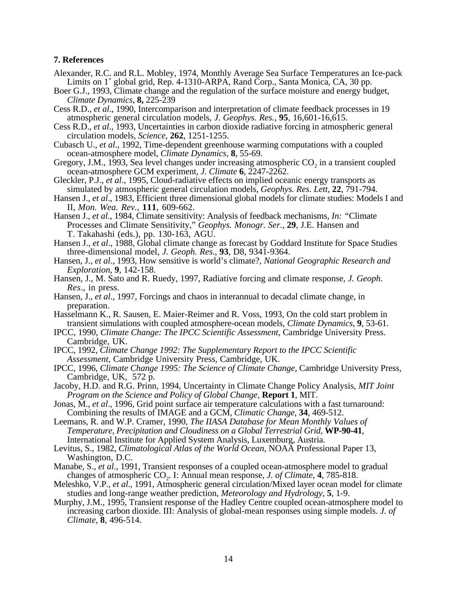### **7. References**

- Alexander, R.C. and R.L. Mobley, 1974, Monthly Average Sea Surface Temperatures an Ice-pack Limits on 1˚ global grid, Rep. 4-1310-ARPA, Rand Corp., Santa Monica, CA, 30 pp.
- Boer G.J., 1993, Climate change and the regulation of the surface moisture and energy budget, *Climate Dynamics*, **8,** 225-239
- Cess R.D., *et al*., 1990, Intercomparison and interpretation of climate feedback processes in 19 atmospheric general circulation models, *J. Geophys. Res.*, **95**, 16,601-16,615.
- Cess R.D., *et al*., 1993, Uncertainties in carbon dioxide radiative forcing in atmospheric general circulation models, *Science*, **262**, 1251-1255.
- Cubasch U., *et al*., 1992, Time-dependent greenhouse warming computations with a coupled ocean-atmosphere model, *Climate Dynamics*, **8**, 55-69.
- Gregory, J.M., 1993, Sea level changes under increasing atmospheric  $CO_2$  in a transient coupled ocean-atmosphere GCM experiment, *J. Climate* **6**, 2247-2262.
- Gleckler, P.J., *et al*., 1995, Cloud-radiative effects on implied oceanic energy transports as simulated by atmospheric general circulation models, *Geophys. Res. Lett*, **22**, 791-794.
- Hansen J., *et al*., 1983, Efficient three dimensional global models for climate studies: Models I and II, *Mon. Wea. Rev.,* **111**, 609-662.
- Hansen J., *et al*., 1984, Climate sensitivity: Analysis of feedback mechanisms, *In: "*Climate Processes and Climate Sensitivity," *Geophys. Monogr. Ser*., **29**, J.E. Hansen and T. Takahashi (eds.), pp. 130-163, AGU.
- Hansen J., *et al*., 1988, Global climate change as forecast by Goddard Institute for Space Studies three-dimensional model, *J. Geoph. Res*., **93**, D8, 9341-9364.
- Hansen, J., *et al*., 1993, How sensitive is world's climate?, *National Geographic Research and Exploration*, **9**, 142-158.
- Hansen, J., M. Sato and R. Ruedy, 1997, Radiative forcing and climate response, *J. Geoph. Res*., in press.
- Hansen, J., *et al*., 1997, Forcings and chaos in interannual to decadal climate change, in preparation.
- Hasselmann K., R. Sausen, E. Maier-Reimer and R. Voss, 1993, On the cold start problem in transient simulations with coupled atmosphere-ocean models, *Climate Dynamics*, **9**, 53-61.
- IPCC, 1990, *Climate Change: The IPCC Scientific Assessment*, Cambridge University Press. Cambridge, UK.
- IPCC, 1992, *Climate Change 1992: The Supplementary Report to the IPCC Scientific Assessment*, Cambridge University Press, Cambridge, UK.
- IPCC, 1996, *Climate Change 1995: The Science of Climate Change,* Cambridge University Press, Cambridge, UK, 572 p.
- Jacoby, H.D. and R.G. Prinn, 1994, Uncertainty in Climate Change Policy Analysis, *MIT Joint Program on the Science and Policy of Global Change*, **Report 1**, MIT.
- Jonas, M., *et al*., 1996, Grid point surface air temperature calculations with a fast turnaround: Combining the results of IMAGE and a GCM, *Climatic Change*, **34**, 469-512.
- Leemans, R. and W.P. Cramer, 1990, *The IIASA Database for Mean Monthly Values of Temperature, Precipitation and Cloudiness on a Global Terrestrial Grid,* **WP-90-41**, International Institute for Applied System Analysis, Luxemburg, Austria.
- Levitus, S., 1982, *Climatological Atlas of the World Ocean,* NOAA Professional Paper 13, Washington, D.C.
- Manabe, S., *et al*., 1991, Transient responses of a coupled ocean-atmosphere model to gradual changes of atmospheric CO2. I: Annual mean response, *J. of Climate*, **4**, 785-818.
- Meleshko, V.P., *et al*., 1991, Atmospheric general circulation/Mixed layer ocean model for climate studies and long-range weather prediction, *Meteorology and Hydrology*, **5**, 1-9.
- Murphy, J.M., 1995, Transient response of the Hadley Centre coupled ocean-atmosphere model to increasing carbon dioxide. III: Analysis of global-mean responses using simple models. *J. of Climate*, **8**, 496-514.